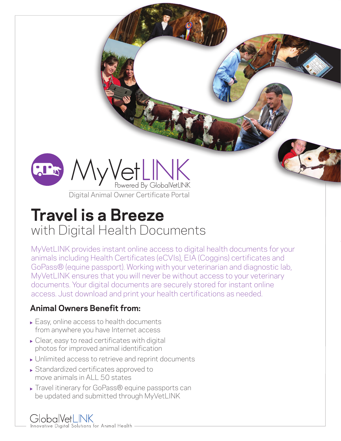

Digital Animal Owner Certificate Portal

# **Travel is a Breeze**  with Digital Health Documents

MyVetLINK provides instant online access to digital health documents for your animals including Health Certificates (eCVIs), EIA (Coggins) certificates and GoPass® (equine passport). Working with your veterinarian and diagnostic lab, MyVetLINK ensures that you will never be without access to your veterinary documents. Your digital documents are securely stored for instant online access. Just download and print your health certifications as needed.

#### **Animal Owners Benefit from:**

- ► Easy, online access to health documents from anywhere you have Internet access
- ► Clear, easy to read certificates with digital photos for improved animal identification
- Unlimited access to retrieve and reprint documents
- ▶ Standardized certificates approved to move animals in ALL 50 states
- ▶ Travel itinerary for GoPass® equine passports can be updated and submitted through MyVetLINK

## GlobalVetLINK

Innovative Digital Solutions for Animal Health